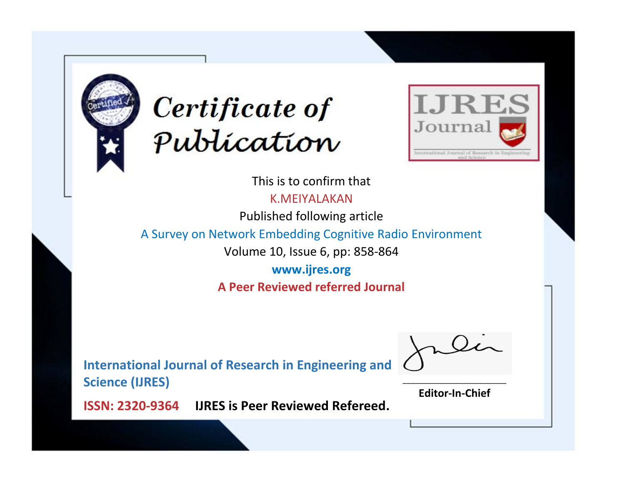



This is to confirm that

K.MEIYALAKAN

Published following article

A Survey on Network Embedding Cognitive Radio Environment

Volume 10, Issue 6, pp: 858-864

**www.ijres.org A Peer Reviewed referred Journal**

**International Journal of Research in Engineering and Science (IJRES)**

\_\_\_\_\_\_\_\_\_\_\_\_\_\_\_\_\_\_\_\_\_\_\_\_ **Editor-In-Chief**

**Journal.**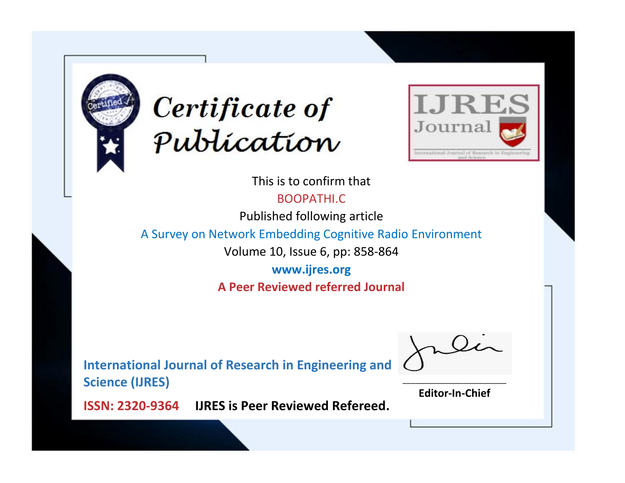



This is to confirm that BOOPATHI.C

Published following article

A Survey on Network Embedding Cognitive Radio Environment

Volume 10, Issue 6, pp: 858-864

**www.ijres.org A Peer Reviewed referred Journal**

**International Journal of Research in Engineering and Science (IJRES)**

\_\_\_\_\_\_\_\_\_\_\_\_\_\_\_\_\_\_\_\_\_\_\_\_ **Editor-In-Chief**

**Journal.**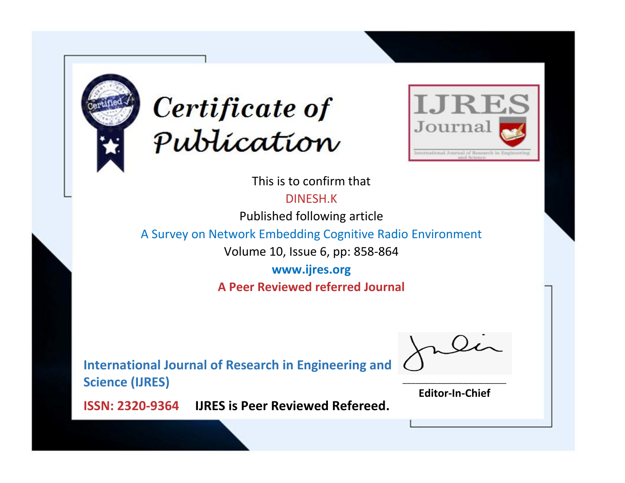



This is to confirm that

DINESH.K

Published following article

A Survey on Network Embedding Cognitive Radio Environment

Volume 10, Issue 6, pp: 858-864

**www.ijres.org A Peer Reviewed referred Journal**

**International Journal of Research in Engineering and Science (IJRES)**

\_\_\_\_\_\_\_\_\_\_\_\_\_\_\_\_\_\_\_\_\_\_\_\_ **Editor-In-Chief**

**Journal.**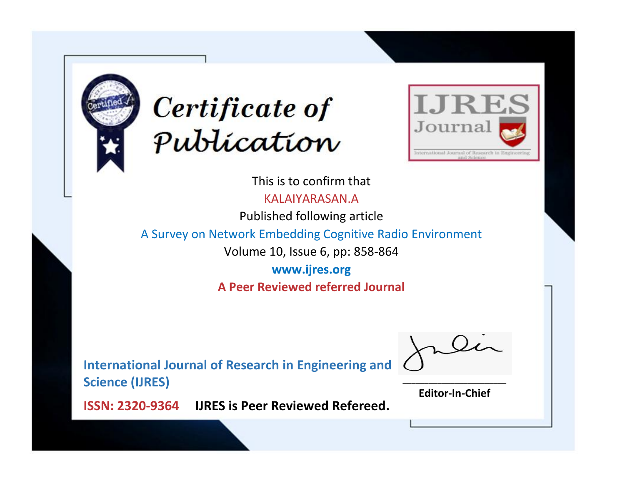



This is to confirm that KALAIYARASAN.A

Published following article

A Survey on Network Embedding Cognitive Radio Environment

Volume 10, Issue 6, pp: 858-864

**www.ijres.org A Peer Reviewed referred Journal**

**International Journal of Research in Engineering and Science (IJRES)**

\_\_\_\_\_\_\_\_\_\_\_\_\_\_\_\_\_\_\_\_\_\_\_\_ **Editor-In-Chief**

**Journal.**